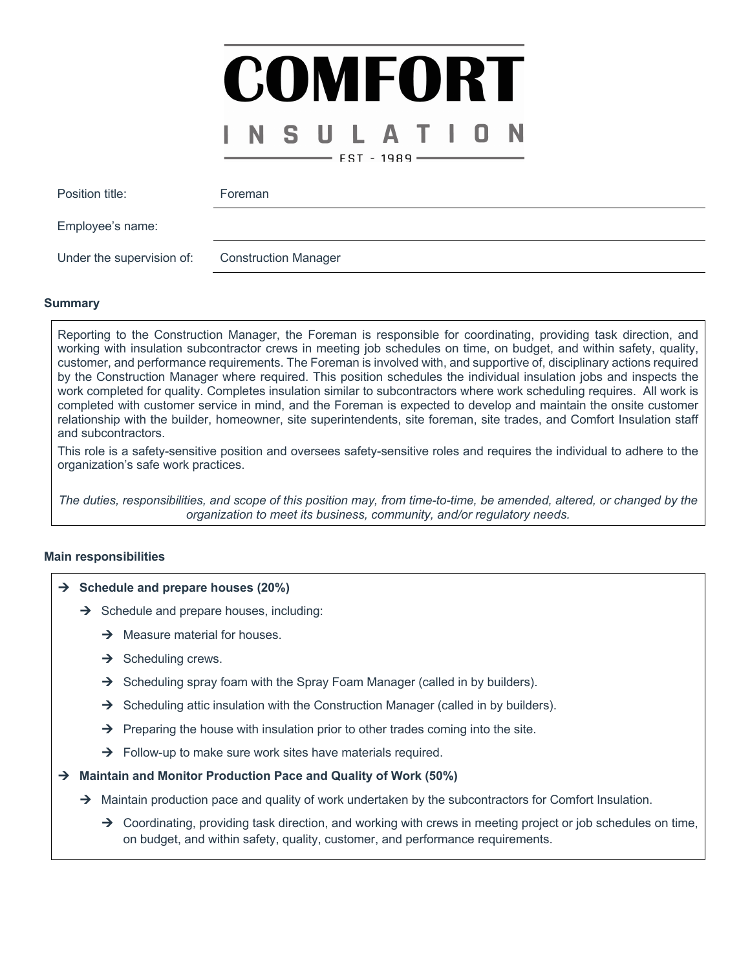## COMFORT S .  $-$  EST - 1989  $-$

| Position title:           | Foreman                     |
|---------------------------|-----------------------------|
| Employee's name:          |                             |
| Under the supervision of: | <b>Construction Manager</b> |

### **Summary**

Reporting to the Construction Manager, the Foreman is responsible for coordinating, providing task direction, and working with insulation subcontractor crews in meeting job schedules on time, on budget, and within safety, quality, customer, and performance requirements. The Foreman is involved with, and supportive of, disciplinary actions required by the Construction Manager where required. This position schedules the individual insulation jobs and inspects the work completed for quality. Completes insulation similar to subcontractors where work scheduling requires. All work is completed with customer service in mind, and the Foreman is expected to develop and maintain the onsite customer relationship with the builder, homeowner, site superintendents, site foreman, site trades, and Comfort Insulation staff and subcontractors.

This role is a safety-sensitive position and oversees safety-sensitive roles and requires the individual to adhere to the organization's safe work practices.

*The duties, responsibilities, and scope of this position may, from time-to-time, be amended, altered, or changed by the organization to meet its business, community, and/or regulatory needs.*

### **Main responsibilities**

### $→$  Schedule and prepare houses (20%)

- $\rightarrow$  Schedule and prepare houses, including:
	- $\rightarrow$  Measure material for houses.
	- $\rightarrow$  Scheduling crews.
	- $\rightarrow$  Scheduling spray foam with the Spray Foam Manager (called in by builders).
	- $\rightarrow$  Scheduling attic insulation with the Construction Manager (called in by builders).
	- $\rightarrow$  Preparing the house with insulation prior to other trades coming into the site.
	- $\rightarrow$  Follow-up to make sure work sites have materials required.

### → Maintain and Monitor Production Pace and Quality of Work (50%)

- $\rightarrow$  Maintain production pace and quality of work undertaken by the subcontractors for Comfort Insulation.
	- $\rightarrow$  Coordinating, providing task direction, and working with crews in meeting project or job schedules on time, on budget, and within safety, quality, customer, and performance requirements.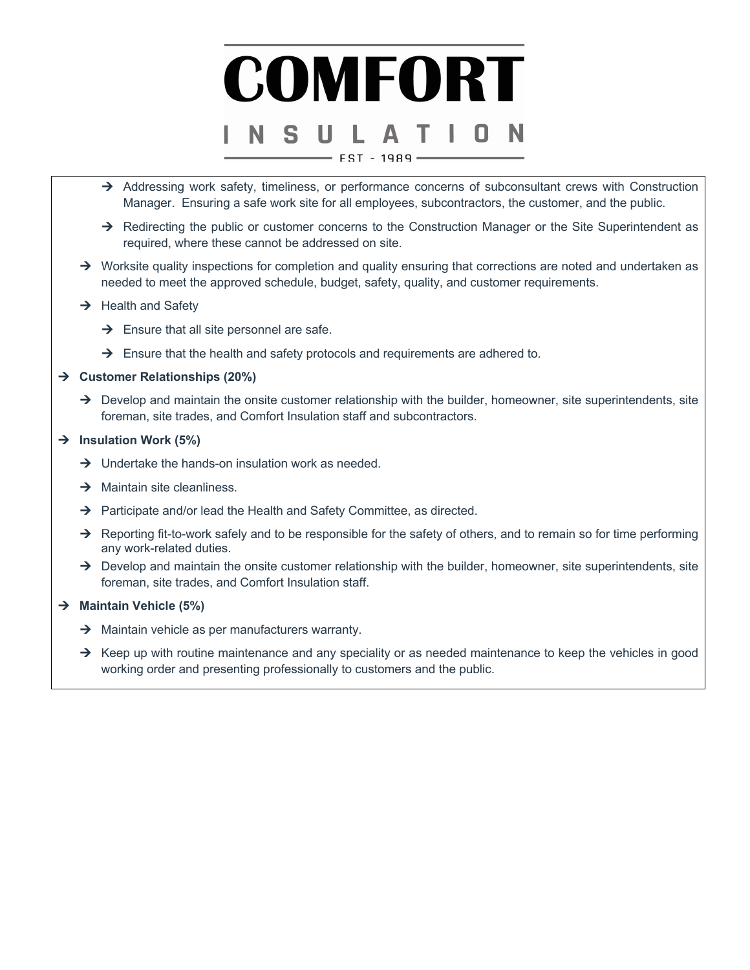# COMFORT - EST - 1989

- $\rightarrow$  Addressing work safety, timeliness, or performance concerns of subconsultant crews with Construction Manager. Ensuring a safe work site for all employees, subcontractors, the customer, and the public.
- $\rightarrow$  Redirecting the public or customer concerns to the Construction Manager or the Site Superintendent as required, where these cannot be addressed on site.
- $\rightarrow$  Worksite quality inspections for completion and quality ensuring that corrections are noted and undertaken as needed to meet the approved schedule, budget, safety, quality, and customer requirements.
- $\rightarrow$  Health and Safety
	- $\rightarrow$  Ensure that all site personnel are safe.
	- $\rightarrow$  Ensure that the health and safety protocols and requirements are adhered to.

### → Customer Relationships (20%)

 $\rightarrow$  Develop and maintain the onsite customer relationship with the builder, homeowner, site superintendents, site foreman, site trades, and Comfort Insulation staff and subcontractors.

### → Insulation Work (5%)

- $\rightarrow$  Undertake the hands-on insulation work as needed.
- $\rightarrow$  Maintain site cleanliness.
- $\rightarrow$  Participate and/or lead the Health and Safety Committee, as directed.
- $\rightarrow$  Reporting fit-to-work safely and to be responsible for the safety of others, and to remain so for time performing any work-related duties.
- $\rightarrow$  Develop and maintain the onsite customer relationship with the builder, homeowner, site superintendents, site foreman, site trades, and Comfort Insulation staff.

### → Maintain Vehicle (5%)

- $\rightarrow$  Maintain vehicle as per manufacturers warranty.
- $\rightarrow$  Keep up with routine maintenance and any speciality or as needed maintenance to keep the vehicles in good working order and presenting professionally to customers and the public.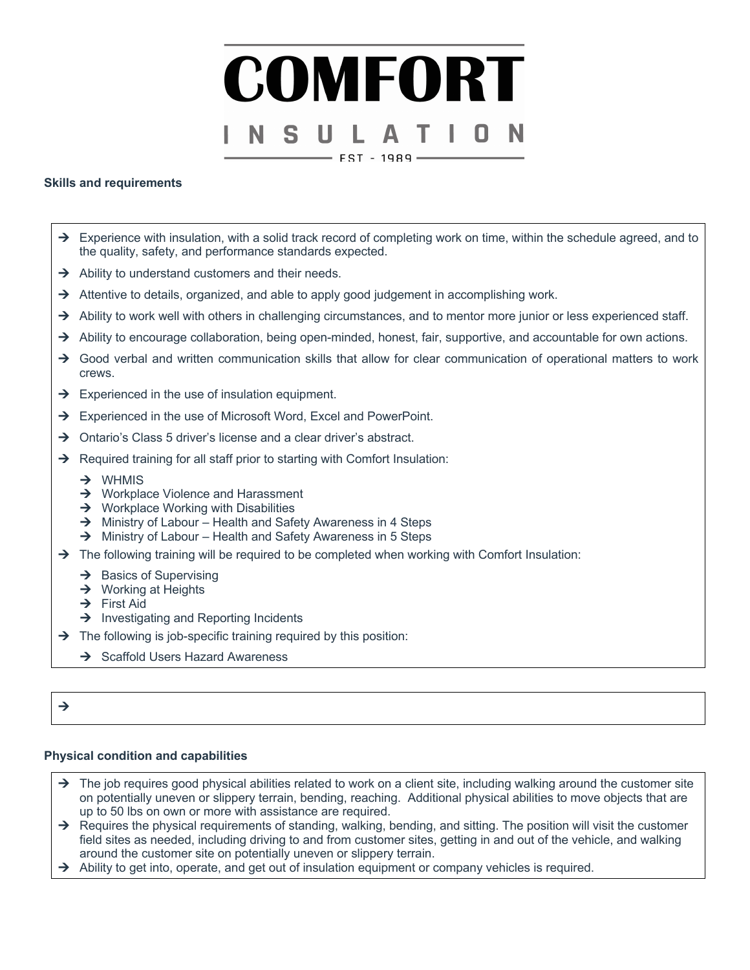## COMFORT S I  $-$  EST - 1989  $-$

### **Skills and requirements**

- $\rightarrow$  Experience with insulation, with a solid track record of completing work on time, within the schedule agreed, and to the quality, safety, and performance standards expected.
- $\rightarrow$  Ability to understand customers and their needs.
- $\rightarrow$  Attentive to details, organized, and able to apply good judgement in accomplishing work.
- $\rightarrow$  Ability to work well with others in challenging circumstances, and to mentor more junior or less experienced staff.
- $\rightarrow$  Ability to encourage collaboration, being open-minded, honest, fair, supportive, and accountable for own actions.
- $\rightarrow$  Good verbal and written communication skills that allow for clear communication of operational matters to work crews.
- $\rightarrow$  Experienced in the use of insulation equipment.
- $\rightarrow$  Experienced in the use of Microsoft Word, Excel and PowerPoint.
- $\rightarrow$  Ontario's Class 5 driver's license and a clear driver's abstract.
- $\rightarrow$  Required training for all staff prior to starting with Comfort Insulation:
	- $\rightarrow$  WHMIS
	- $\rightarrow$  Workplace Violence and Harassment
	- $\rightarrow$  Workplace Working with Disabilities
	- $\rightarrow$  Ministry of Labour Health and Safety Awareness in 4 Steps
	- $\rightarrow$  Ministry of Labour Health and Safety Awareness in 5 Steps
- $\rightarrow$  The following training will be required to be completed when working with Comfort Insulation:
	- $\rightarrow$  Basics of Supervising
	- $\rightarrow$  Working at Heights
	- $\rightarrow$  First Aid
	- $\rightarrow$  Investigating and Reporting Incidents
- $\rightarrow$  The following is job-specific training required by this position:
	- $\rightarrow$  Scaffold Users Hazard Awareness

### $\rightarrow$

### **Physical condition and capabilities**

- $\rightarrow$  The job requires good physical abilities related to work on a client site, including walking around the customer site on potentially uneven or slippery terrain, bending, reaching. Additional physical abilities to move objects that are up to 50 lbs on own or more with assistance are required.
- $\rightarrow$  Requires the physical requirements of standing, walking, bending, and sitting. The position will visit the customer field sites as needed, including driving to and from customer sites, getting in and out of the vehicle, and walking around the customer site on potentially uneven or slippery terrain.
- $\rightarrow$  Ability to get into, operate, and get out of insulation equipment or company vehicles is required.